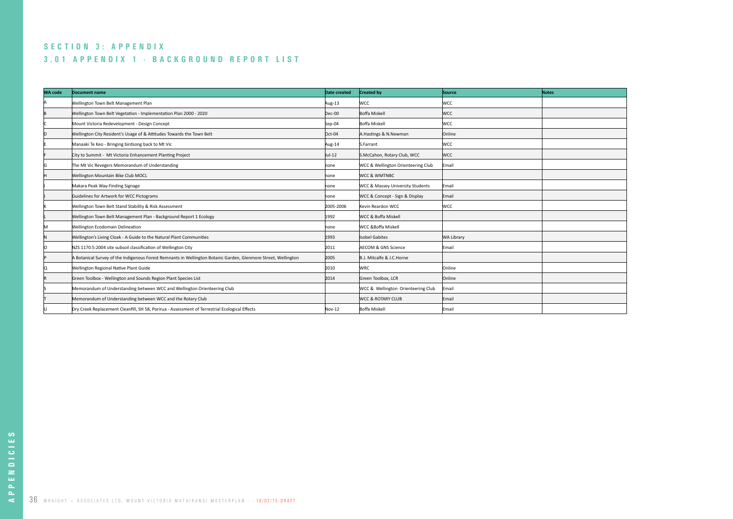# **3.01 APPENDIX 1 - BACKGROUND REPORT LIST SECTION 3: APPENDIX**

| <b>WA code</b> | Document name                                                                                                  | Date created | <b>Created by</b>                           | Source     | <b>Notes</b> |
|----------------|----------------------------------------------------------------------------------------------------------------|--------------|---------------------------------------------|------------|--------------|
|                | Wellington Town Belt Management Plan                                                                           | Aug-13       | <b>WCC</b>                                  | <b>WCC</b> |              |
|                | Wellington Town Belt Vegetation - Implementation Plan 2000 - 2020                                              | $Dec-00$     | Boffa Miskell                               | <b>WCC</b> |              |
|                | Mount Victoria Redevelopment - Design Concept                                                                  | Sep-04       | Boffa Miskell                               | WCC        |              |
|                | Wellington City Resident's Usage of & Attitudes Towards the Town Belt                                          | $Oct-04$     | A.Hastings & N.Newman                       | Online     |              |
|                | Manaaki Te Keo - Bringing birdsong back to Mt Vic                                                              | Aug-14       | S.Farrant                                   | <b>WCC</b> |              |
|                | City to Summit - Mt Victoria Enhancement Planting Project                                                      | Jul-12       | S.McCahon, Rotary Club, WCC                 | lwcc       |              |
|                | The Mt Vic Revegers Memorandum of Understanding                                                                | none         | WCC & Wellington Orienteering Club          | Email      |              |
|                | Wellington Mountain Bike Club MOCL                                                                             | none         | <b>WCC &amp; WMTNBC</b>                     |            |              |
|                | Makara Peak Way-Finding Signage                                                                                | none         | <b>WCC &amp; Massey University Students</b> | Email      |              |
|                | Guidelines for Artwork for WCC Pictograms                                                                      | none         | WCC & Concept - Sign & Display              | Email      |              |
|                | Wellington Town Belt Stand Stability & Risk Assessment                                                         | 2005-2006    | Kevin Reardon WCC                           | <b>WCC</b> |              |
|                | Wellington Town Belt Management Plan - Background Report 1 Ecology                                             | 1992         | <b>WCC &amp; Boffa Miskell</b>              |            |              |
| ΙM             | Wellington Ecodomain Delineation                                                                               | none         | <b>WCC &amp;Boffa Miskell</b>               |            |              |
|                | Wellington's Living Cloak - A Guide to the Natural Plant Communities                                           | 1993         | Isobel Gabites                              | WA Library |              |
|                | NZS 1170.5:2004 site subsoil classification of Wellington City                                                 | 2011         | <b>AECOM &amp; GNS Science</b>              | Email      |              |
|                | A Botanical Survey of the Indigenous Forest Remnants in Wellington Botanic Garden, Glenmore Street, Wellington | 2005         | B.J. Mitcalfe & J.C.Horne                   |            |              |
|                | <b>Wellington Regional Native Plant Guide</b>                                                                  | 2010         | <b>WRC</b>                                  | Online     |              |
|                | Green Toolbox - Wellington and Sounds Region Plant Species List                                                | 2014         | Green Toolbox, LCR                          | Online     |              |
|                | Memorandum of Understanding between WCC and Wellington Orienteering Club                                       |              | WCC & Wellington Orienteering Club          | Email      |              |
|                | Memorandum of Understanding between WCC and the Rotary Club                                                    |              | <b>WCC &amp; ROTARY CLUB</b>                | Email      |              |
|                | Dry Creek Replacement Cleanfill, SH 58, Porirua - Assessment of Terrestrial Ecological Effects                 | $Nov-12$     | Boffa Miskell                               | Email      |              |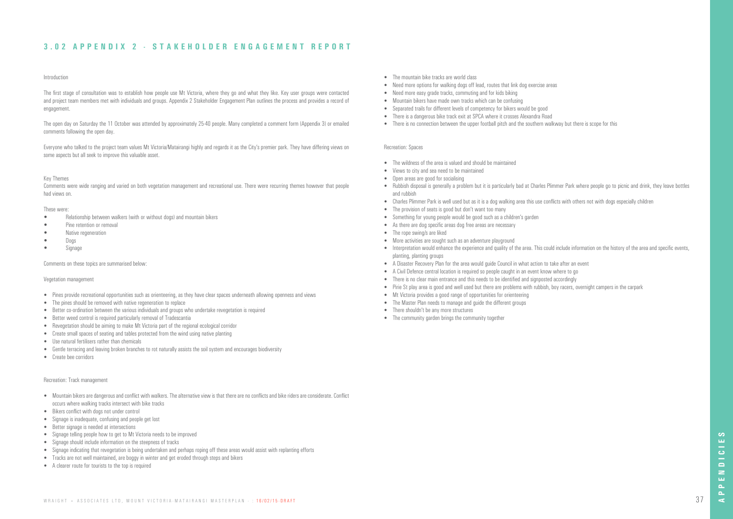# Introduction

The first stage of consultation was to establish how people use Mt Victoria, where they go and what they like. Key user groups were contacted and project team members met with individuals and groups. Appendix 2 Stakeholder Engagement Plan outlines the process and provides a record of engagement.

The open day on Saturday the 11 October was attended by approximately 25-40 people. Many completed a comment form (Appendix 3) or emailed comments following the open day.

Everyone who talked to the project team values Mt Victoria/Matairangi highly and regards it as the City's premier park. They have differing views on some aspects but all seek to improve this valuable asset.

## Key Themes

Comments were wide ranging and varied on both vegetation management and recreational use. There were recurring themes however that people had views on.

## These were:

- Relationship between walkers (with or without dogs) and mountain bikers
- Pine retention or removal
- Native regeneration
- Dogs
- Signage

## Comments on these topics are summarised below:

# Vegetation management

- Pines provide recreational opportunities such as orienteering, as they have clear spaces underneath allowing openness and views
- The pines should be removed with native regeneration to replace
- Better co-ordination between the various individuals and groups who undertake revegetation is required
- Better weed control is required particularly removal of Tradescantia
- Revegetation should be aiming to make Mt Victoria part of the regional ecological corridor
- Create small spaces of seating and tables protected from the wind using native planting
- Use natural fertilisers rather than chemicals
- Gentle terracing and leaving broken branches to rot naturally assists the soil system and encourages biodiversity
- Create bee corridors
- The mountain bike tracks are world class
- Need more options for walking dogs off lead, routes that link dog exercise areas
- Need more easy grade tracks, commuting and for kids biking
- Mountain bikers have made own tracks which can be confusing
- Separated trails for different levels of competency for bikers would be good
- There is a dangerous bike track exit at SPCA where it crosses Alexandra Road
- There is no connection between the upper football pitch and the southern walkway but there is scope for this

## Recreation: Track management

- Mountain bikers are dangerous and conflict with walkers. The alternative view is that there are no conflicts and bike riders are considerate. Conflict occurs where walking tracks intersect with bike tracks
- Bikers conflict with dogs not under control
- Signage is inadequate, confusing and people get lost
- Better signage is needed at intersections
- Signage telling people how to get to Mt Victoria needs to be improved
- Signage should include information on the steepness of tracks
- Signage indicating that revegetation is being undertaken and perhaps roping off these areas would assist with replanting efforts
- Tracks are not well maintained, are boggy in winter and get eroded through steps and bikers
- A clearer route for tourists to the top is required

# Recreation: Spaces

- The wildness of the area is valued and should be maintained
- Views to city and sea need to be maintained
- Open areas are good for socialising
- Rubbish disposal is generally a problem but it is particularly bad at Charles Plimmer Park where people go to picnic and drink, they leave bottles and rubbish
- Charles Plimmer Park is well used but as it is a dog walking area this use conflicts with others not with dogs especially children
- The provision of seats is good but don't want too many
- Something for young people would be good such as a children's garden
- As there are dog specific areas dog free areas are necessary
- The rope swing/s are liked
- More activities are sought such as an adventure playground
- Interpretation would enhance the experience and quality of the area. This could include information on the history of the area and specific events, planting, planting groups
- A Disaster Recovery Plan for the area would guide Council in what action to take after an event
- A Civil Defence central location is required so people caught in an event know where to go
- There is no clear main entrance and this needs to be identified and signposted accordingly
- Pirie St play area is good and well used but there are problems with rubbish, boy racers, overnight campers in the carpark
- Mt Victoria provides a good range of opportunities for orienteering
- The Master Plan needs to manage and quide the different groups
- There shouldn't be any more structures
- The community garden brings the community together